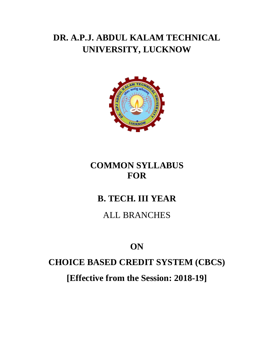# **DR. A.P.J. ABDUL KALAM TECHNICAL UNIVERSITY, LUCKNOW**



### **COMMON SYLLABUS FOR**

# **B. TECH. III YEAR**

#### ALL BRANCHES

# **ON**

### **CHOICE BASED CREDIT SYSTEM (CBCS)**

**[Effective from the Session: 2018-19]**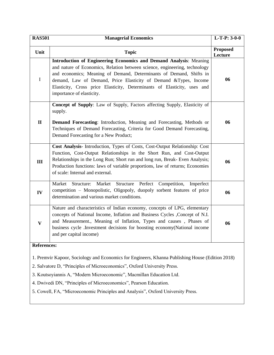| <b>RAS501</b>                                                                                                                             | <b>Managerial Economics</b>                                                                                                                                                                                                                                                                                                                                                                          | $L-T-P: 3-0-0$             |  |
|-------------------------------------------------------------------------------------------------------------------------------------------|------------------------------------------------------------------------------------------------------------------------------------------------------------------------------------------------------------------------------------------------------------------------------------------------------------------------------------------------------------------------------------------------------|----------------------------|--|
| Unit                                                                                                                                      | <b>Topic</b>                                                                                                                                                                                                                                                                                                                                                                                         | <b>Proposed</b><br>Lecture |  |
| $\bf I$                                                                                                                                   | Introduction of Engineering Economics and Demand Analysis: Meaning<br>and nature of Economics, Relation between science, engineering, technology<br>and economics; Meaning of Demand, Determinants of Demand, Shifts in<br>demand, Law of Demand, Price Elasticity of Demand &Types, Income<br>Elasticity, Cross price Elasticity, Determinants of Elasticity, uses and<br>importance of elasticity. | 06                         |  |
| $\mathbf{I}$                                                                                                                              | Concept of Supply: Law of Supply, Factors affecting Supply, Elasticity of<br>supply.<br>Demand Forecasting: Introduction, Meaning and Forecasting, Methods or<br>Techniques of Demand Forecasting, Criteria for Good Demand Forecasting,<br>Demand Forecasting for a New Product;                                                                                                                    | 06                         |  |
| III                                                                                                                                       | Cost Analysis- Introduction, Types of Costs, Cost-Output Relationship: Cost<br>Function, Cost-Output Relationships in the Short Run, and Cost-Output<br>Relationships in the Long Run; Short run and long run, Break- Even Analysis;<br>Production functions: laws of variable proportions, law of returns; Economies<br>of scale: Internal and external.                                            | 06                         |  |
| IV                                                                                                                                        | Market Structure Perfect Competition, Imperfect<br>Market<br>Structure:<br>competition - Monopolistic, Oligopoly, duopoly sorbent features of price<br>determination and various market conditions.                                                                                                                                                                                                  | 06                         |  |
| $\mathbf{V}$                                                                                                                              | Nature and characteristics of Indian economy, concepts of LPG, elementary<br>concepts of National Income, Inflation and Business Cycles , Concept of N.I.<br>and Measurement., Meaning of Inflation, Types and causes, Phases of<br>business cycle .Investment decisions for boosting economy (National income<br>and per capital income)                                                            | 06                         |  |
| <b>References:</b>                                                                                                                        |                                                                                                                                                                                                                                                                                                                                                                                                      |                            |  |
| 1. Premvir Kapoor, Sociology and Economics for Engineers, Khanna Publishing House (Edition 2018)                                          |                                                                                                                                                                                                                                                                                                                                                                                                      |                            |  |
| 2. Salvatore D, "Principles of Microeconomics", Oxford University Press.                                                                  |                                                                                                                                                                                                                                                                                                                                                                                                      |                            |  |
| 3. Koutsoyiannis A, "Modern Microeconomic", Macmillan Education Ltd.<br>4. Dwivedi DN, "Principles of Microeconomics", Pearson Education. |                                                                                                                                                                                                                                                                                                                                                                                                      |                            |  |
| 5. Cowell, FA, "Microeconomic Principles and Analysis", Oxford University Press.                                                          |                                                                                                                                                                                                                                                                                                                                                                                                      |                            |  |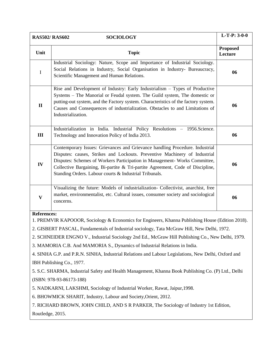|                                                                                                     | <b>RAS502/ RAS602</b><br><b>SOCIOLOGY</b>                                                                                                                                                                                                                                                                                                                                            | $L-T-P: 3-0-0$             |  |  |
|-----------------------------------------------------------------------------------------------------|--------------------------------------------------------------------------------------------------------------------------------------------------------------------------------------------------------------------------------------------------------------------------------------------------------------------------------------------------------------------------------------|----------------------------|--|--|
| Unit                                                                                                | <b>Topic</b>                                                                                                                                                                                                                                                                                                                                                                         | <b>Proposed</b><br>Lecture |  |  |
| $\mathbf I$                                                                                         | Industrial Sociology: Nature, Scope and Importance of Industrial Sociology.<br>Social Relations in Industry, Social Organisation in Industry- Bureaucracy,<br>Scientific Management and Human Relations.                                                                                                                                                                             | 06                         |  |  |
| $\mathbf{I}$                                                                                        | Rise and Development of Industry: Early Industrialism - Types of Productive<br>Systems - The Manorial or Feudal system. The Guild system, The domestic or<br>putting-out system, and the Factory system. Characteristics of the factory system.<br>Causes and Consequences of industrialization. Obstacles to and Limitations of<br>Industrialization.                               | 06                         |  |  |
| III                                                                                                 | Industrialization in India. Industrial Policy Resolutions - 1956. Science.<br>Technology and Innovation Policy of India 2013.                                                                                                                                                                                                                                                        | 06                         |  |  |
| IV                                                                                                  | Contemporary Issues: Grievances and Grievance handling Procedure. Industrial<br>Disputes: causes, Strikes and Lockouts. Preventive Machinery of Industrial<br>Disputes: Schemes of Workers Participation in Management- Works Committee,<br>Collective Bargaining, Bi-partite & Tri-partite Agreement, Code of Discipline,<br>Standing Orders. Labour courts & Industrial Tribunals. | 06                         |  |  |
| $\mathbf{V}$                                                                                        | Visualizing the future: Models of industrialization- Collectivist, anarchist, free<br>market, environmentalist, etc. Cultural issues, consumer society and sociological<br>concerns.                                                                                                                                                                                                 | 06                         |  |  |
| <b>References:</b>                                                                                  |                                                                                                                                                                                                                                                                                                                                                                                      |                            |  |  |
|                                                                                                     | 1. PREMVIR KAPOOOR, Sociology & Economics for Engineers, Khanna Publishing House (Edition 2018).<br>2. GISBERT PASCAL, Fundamentals of Industrial sociology, Tata McGraw Hill, New Delhi, 1972.                                                                                                                                                                                      |                            |  |  |
| 2. SCHNEIDER ENGNO V., Industrial Sociology 2nd Ed., McGraw Hill Publishing Co., New Delhi, 1979.   |                                                                                                                                                                                                                                                                                                                                                                                      |                            |  |  |
| 3. MAMORIA C.B. And MAMORIA S., Dynamics of Industrial Relations in India.                          |                                                                                                                                                                                                                                                                                                                                                                                      |                            |  |  |
| 4. SINHA G.P. and P.R.N. SINHA, Industrial Relations and Labour Legislations, New Delhi, Oxford and |                                                                                                                                                                                                                                                                                                                                                                                      |                            |  |  |
| IBH Publishing Co., 1977.                                                                           |                                                                                                                                                                                                                                                                                                                                                                                      |                            |  |  |
| 5. S.C. SHARMA, Industrial Safety and Health Management, Khanna Book Publishing Co. (P) Ltd., Delhi |                                                                                                                                                                                                                                                                                                                                                                                      |                            |  |  |
| (ISBN: 978-93-86173-188)                                                                            |                                                                                                                                                                                                                                                                                                                                                                                      |                            |  |  |
| 5. NADKARNI, LAKSHMI, Sociology of Industrial Worker, Rawat, Jaipur, 1998.                          |                                                                                                                                                                                                                                                                                                                                                                                      |                            |  |  |
| 6. BHOWMICK SHARIT, Industry, Labour and Society, Orient, 2012.                                     |                                                                                                                                                                                                                                                                                                                                                                                      |                            |  |  |
|                                                                                                     | 7. RICHARD BROWN, JOHN CHILD, AND S R PARKER, The Sociology of Industry 1st Edition,                                                                                                                                                                                                                                                                                                 |                            |  |  |
| Routledge, 2015.                                                                                    |                                                                                                                                                                                                                                                                                                                                                                                      |                            |  |  |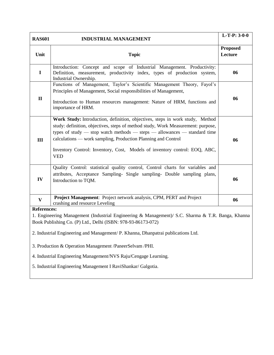| <b>RAS601</b>                                                                                                                                                                                                                                                                                                                                                                                               | <b>INDUSTRIAL MANAGEMENT</b>                                                                                                                                                                                                                                                                                                                                                                                       | L-T-P: $3-0-0$             |  |  |
|-------------------------------------------------------------------------------------------------------------------------------------------------------------------------------------------------------------------------------------------------------------------------------------------------------------------------------------------------------------------------------------------------------------|--------------------------------------------------------------------------------------------------------------------------------------------------------------------------------------------------------------------------------------------------------------------------------------------------------------------------------------------------------------------------------------------------------------------|----------------------------|--|--|
| Unit                                                                                                                                                                                                                                                                                                                                                                                                        | <b>Topic</b>                                                                                                                                                                                                                                                                                                                                                                                                       | <b>Proposed</b><br>Lecture |  |  |
| $\mathbf I$                                                                                                                                                                                                                                                                                                                                                                                                 | Introduction: Concept and scope of Industrial Management. Productivity:<br>Definition, measurement, productivity index, types of production system,<br>Industrial Ownership.                                                                                                                                                                                                                                       | 06                         |  |  |
| $\mathbf{I}$                                                                                                                                                                                                                                                                                                                                                                                                | Functions of Management, Taylor's Scientific Management Theory, Fayol's<br>Principles of Management, Social responsibilities of Management,<br>Introduction to Human resources management: Nature of HRM, functions and<br>importance of HRM.                                                                                                                                                                      | 06                         |  |  |
| III                                                                                                                                                                                                                                                                                                                                                                                                         | Work Study: Introduction, definition, objectives, steps in work study, Method<br>study: definition, objectives, steps of method study, Work Measurement: purpose,<br>types of study $-$ stop watch methods $-$ steps $-$ allowances $-$ standard time<br>calculations — work sampling, Production Planning and Control<br>Inventory Control: Inventory, Cost, Models of inventory control: EOQ, ABC,<br><b>VED</b> | 06                         |  |  |
| IV                                                                                                                                                                                                                                                                                                                                                                                                          | Quality Control: statistical quality control, Control charts for variables and<br>attributes, Acceptance Sampling- Single sampling- Double sampling plans,<br>Introduction to TQM.                                                                                                                                                                                                                                 | 06                         |  |  |
| $\mathbf{V}$                                                                                                                                                                                                                                                                                                                                                                                                | Project Management: Project network analysis, CPM, PERT and Project<br>crashing and resource Leveling                                                                                                                                                                                                                                                                                                              | 06                         |  |  |
| <b>References:</b><br>1. Engineering Management (Industrial Engineering & Management)/ S.C. Sharma & T.R. Banga, Khanna<br>Book Publishing Co. (P) Ltd., Delhi (ISBN: 978-93-86173-072)<br>2. Industrial Engineering and Management/ P. Khanna, Dhanpatrai publications Ltd.<br>3. Production & Operation Management /PaneerSelvam /PHI.<br>4. Industrial Engineering Management/NVS Raju/Cengage Learning. |                                                                                                                                                                                                                                                                                                                                                                                                                    |                            |  |  |
| 5. Industrial Engineering Management I RaviShankar/ Galgotia.                                                                                                                                                                                                                                                                                                                                               |                                                                                                                                                                                                                                                                                                                                                                                                                    |                            |  |  |